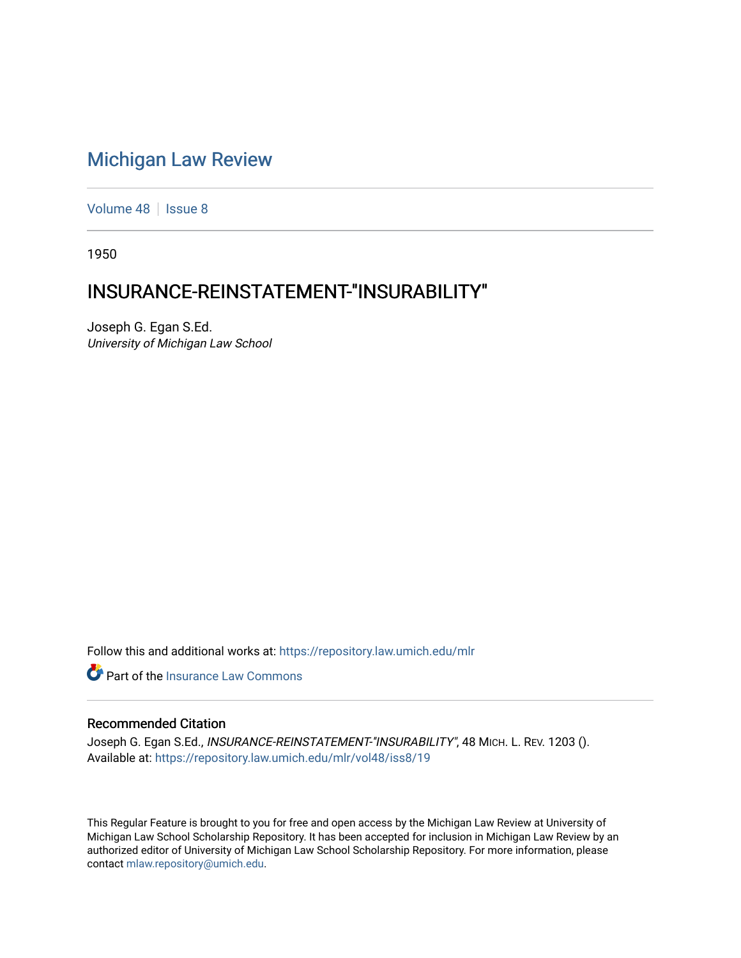## [Michigan Law Review](https://repository.law.umich.edu/mlr)

[Volume 48](https://repository.law.umich.edu/mlr/vol48) | [Issue 8](https://repository.law.umich.edu/mlr/vol48/iss8)

1950

## INSURANCE-REINSTATEMENT-"INSURABILITY"

Joseph G. Egan S.Ed. University of Michigan Law School

Follow this and additional works at: [https://repository.law.umich.edu/mlr](https://repository.law.umich.edu/mlr?utm_source=repository.law.umich.edu%2Fmlr%2Fvol48%2Fiss8%2F19&utm_medium=PDF&utm_campaign=PDFCoverPages) 

**C** Part of the [Insurance Law Commons](http://network.bepress.com/hgg/discipline/607?utm_source=repository.law.umich.edu%2Fmlr%2Fvol48%2Fiss8%2F19&utm_medium=PDF&utm_campaign=PDFCoverPages)

## Recommended Citation

Joseph G. Egan S.Ed., INSURANCE-REINSTATEMENT-"INSURABILITY", 48 MICH. L. REV. 1203 (). Available at: [https://repository.law.umich.edu/mlr/vol48/iss8/19](https://repository.law.umich.edu/mlr/vol48/iss8/19?utm_source=repository.law.umich.edu%2Fmlr%2Fvol48%2Fiss8%2F19&utm_medium=PDF&utm_campaign=PDFCoverPages) 

This Regular Feature is brought to you for free and open access by the Michigan Law Review at University of Michigan Law School Scholarship Repository. It has been accepted for inclusion in Michigan Law Review by an authorized editor of University of Michigan Law School Scholarship Repository. For more information, please contact [mlaw.repository@umich.edu](mailto:mlaw.repository@umich.edu).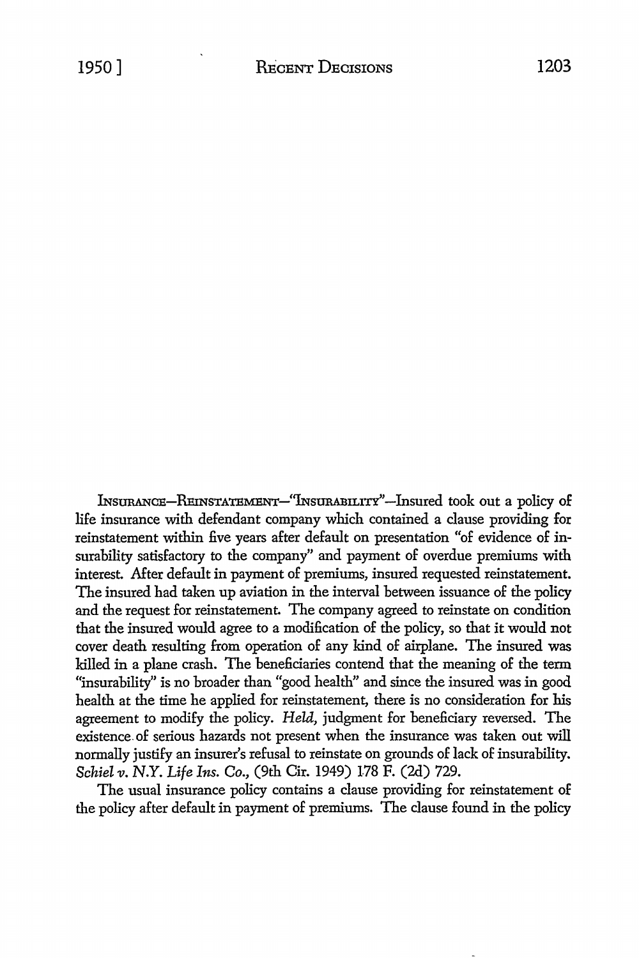lNsURANCE-RmNSTA'I'EMENT-''INsURABILITY'-lnsured took out a policy of life insurance with defendant company which contained a clause providing for reinstatement within five years after default on presentation "of evidence of insurability satisfactory to the company" and payment of overdue premiums with interest. After default in payment of premiums, insured requested reinstatement. The insured had taken up aviation in the interval between issuance of the policy and the request for reinstatement. The company agreed to reinstate on condition that the insured would agree to a modification of the policy, so that it would not cover death resulting from operation of any kind of airplane. The insured was killed in a plane crash. The beneficiaries contend that the meaning of the term "insurability" is no broader than "good health" and since the insured was in good health at the time he applied for reinstatement, there is no consideration for his agreement to modify the policy. *Held,* judgment for beneficiary reversed. The existence. of serious hazards not present when the insurance was taken out will normally justify an insurer's refusal to reinstate on grounds of lack of insurability. *Schiel v.* N.Y. *Life Ins. Co.,* (9th Cir. 1949) 178 F. (2d) 729.

The usual insurance policy contains a clause providing for reinstatement of the policy after default in payment of premiums. The clause found in the policy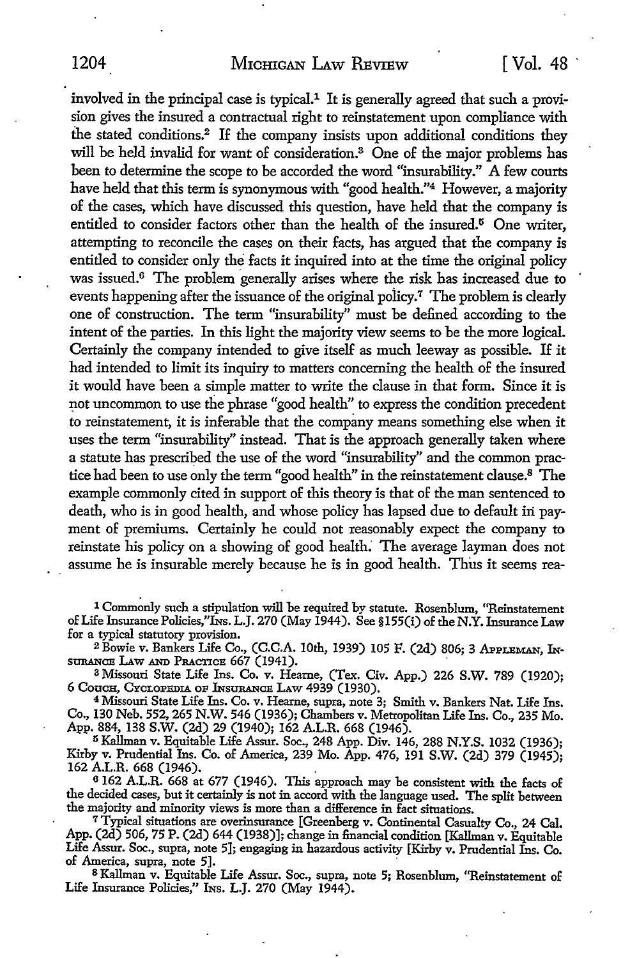involved in the principal case is typical. $<sup>1</sup>$  It is generally agreed that such a provi-</sup> sion gives the insured a contractual right to reinstatement upon compliance with the stated conditions.2 If the company insists upon additional conditions they will be held invalid for want of consideration.<sup>3</sup> One of the major problems has been to determine the scope to be accorded the word "insurability." A few courts have held that this term is synonymous with "good health."4 However, a majority of the cases, which have discussed this question, have held that the company is entitled to consider factors other than the health of the insured.<sup>5</sup> One writer, attempting to reconcile the cases on their facts, has argued that the company is entitled to consider only the facts it inquired into at the time the original policy was issued.<sup>6</sup> The problem generally arises where the risk has increased due to events happening after the issuance of the original policy.<sup> $\tau$ </sup> The problem is clearly one of construction. The term "insurability" must be defined according to the intent of the parties. In this light the majority view seems to be the more logical. Certainly the company intended to give itself as much leeway as possible. If it had intended to limit its inquiry to matters concerning the health of the insured it would have been a simple matter to write the clause in that form. Since it is not uncommon to use the phrase "good health" to express the condition precedent to reinstatement, it is inferable that the company means something else when it uses the term "insurability" instead. That is the approach generally taken where a statute has prescribed the use of the word "insurability" and the common practice had been to use only the term "good health" in the reinstatement clause.8 The example commonly cited in support of this theory is that of the man sentenced to death, who is in good health, and whose policy has lapsed due to default in payment of premiums. Certainly he could not reasonably expect the company to reinstate his policy on a showing of good health: The average layman does not assume he is insurable merely because he is in good health. Thus it seems rea-

1 Commonly such a stipulation will be required by statute. Rosenblum, ''Reinstatement of Life Insurance Policies,"Ins. L.J. 270 (May 1944). See §155(i) of the N.Y. Insurance Law for a typical statutory provision.

 $2\overline{B}$ owie v. Bankers Life Co., (C.C.A. 10th, 1939) 105 F. (2d) 806; 3 APPLEMAN, INSURANCE LAW AND PRACTICE 667 (1941).

<sup>3</sup> Missouri State Life Ins. Co. v. Hearne, (Tex. Civ. App.) 226 S.W. 789 (1920); 6 Coucu, Cyclopuble of Insurance Law 4939 (1930).

<sup>4</sup> Missouri State Life Ins. Co. v. Hearne, supra, note 3; Smith v. Bankers Nat. Life Ins. Co., 130 Neb. 552, 265 N.W. 546 (1936); Chambers v. Metropolitan Life Ins. Co., 235 Mo. App. 884, 138 S.W. (2d) 29 (1940); 162 A.L.R. 668 (1946).

<sup>5</sup>Kallman v. Equitable Life Assur. Soc., 248 App. Div. 146, 288 N.Y.S. 1032 (1936); Kirby v. Prudential Ins. Co. of America, 239 Mo. App. 476, 191 S.W. (2d) 379 (1945); 162 A.L.R. 668 (1946). \_

<sup>6</sup>162 A.L.R. 668 at 677 (1946). This approach may be consistent with the facts of the decided cases, but it certainly is not in accord with the language used. The split between the majority and minority views is more than a difference in fact situations.

<sup>7</sup> Typical situations are overinsurance [Greenberg v. Continental Casualty Co., 24 Cal. App. (2d) 506, 75 P. (2d) 644 (1938)]; change in financial condition [Kallman v. Equitable Life Assur. Soc., supra, note 5]; engaging in hazardous activity [Kirby v. Prudential Ins. Co. of America, supra, note 5]. -

<sup>8</sup>Kallman v. Equitable Life Assur. Soc., supra, note 5; Rosenblum, ''Reinstatement of Life Insurance Policies," INS. L.J. 270 (May 1944).